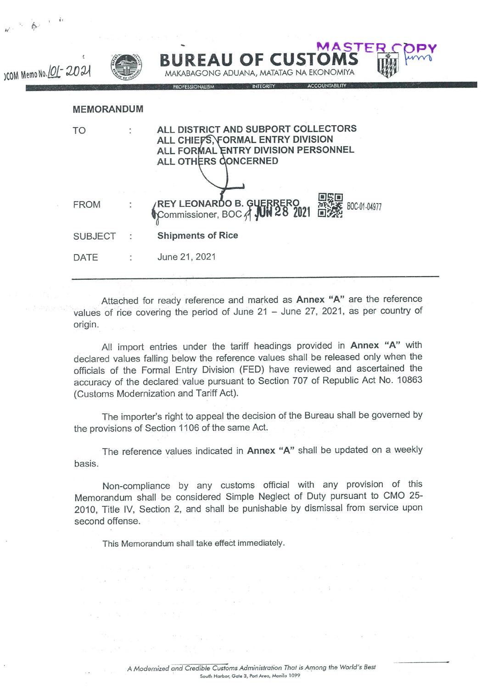| $1 - 1$                |                   |                                                                                                                                         |  |
|------------------------|-------------------|-----------------------------------------------------------------------------------------------------------------------------------------|--|
| ICOM Memo No. 101-2021 |                   | <b>MASTER</b><br><b>BUREAU OF CUSTOMS</b><br>MAKABAGONG ADUANA, MATATAG NA EKONOMIYA<br><b>ACCOUNTABILITY</b>                           |  |
|                        | <b>MEMORANDUM</b> | PROFESSIONALISM<br>INTEGRITY                                                                                                            |  |
|                        | TO                | ALL DISTRICT AND SUBPORT COLLECTORS<br>ALL CHIEFS, FORMAL ENTRY DIVISION<br>ALL FORMAL ENTRY DIVISION PERSONNEL<br>ALL OTHERS CONCERNED |  |
|                        | <b>FROM</b>       | REY LEONARDO B. GUERRERO H<br>BOC-01-04977                                                                                              |  |
|                        | <b>SUBJECT</b>    | <b>Shipments of Rice</b>                                                                                                                |  |
|                        | DATE              | June 21, 2021                                                                                                                           |  |
|                        |                   |                                                                                                                                         |  |

 $\phi$  .

Attached for ready reference and marked as Annex "A" are the reference values of rice covering the period of June  $21 -$  June  $27$ , 2021, as per country of origin.

All import entries under the tariff headings provided in Annex "A" with declared values falling below the reference values shall be released only when the officials of the Formal Entry Division (FED) have reviewed and ascertained the accuracy of the declared value pursuant to Section 707 of Republic Act No. 10863 (Customs Modernization and Tariff Act).

The importer's right to appeal the decision of the Bureau shall be governed by the provisions of Section 1106 of the same Act.

The reference values indicated in Annex "A" shall be updated on a weekly basis.

Non-compliance by any customs official with any provision of this Memorandum shall be considered Simple Neglect of Duty pursuant to CM0 25- 2010. Title IV, Section 2, and shall be punishable by dismissal from service upon second offense.

This Memorandum shall take effect immediately.

ka katiya Mila Malaysia Marekani<br>Tanahira Marekani

 $\mathbf{a}^{(1)}_{\mathbf{a},\mathbf{b}} = \mathbf{g}^{(1)}_{\mathbf{a}} \mathbf{g}^{(1)}_{\mathbf{a}} + \mathbf{g}^{(1)}_{\mathbf{a}} = \mathbf{g}^{(1)}_{\mathbf{a}} \mathbf{g}^{(1)}_{\mathbf{a}} + \mathbf{g}^{(2)}_{\mathbf{a}} \mathbf{g}^{(2)}_{\mathbf{a}}$ 

 $\mathbf{r}$  ,  $\mathbf{r}$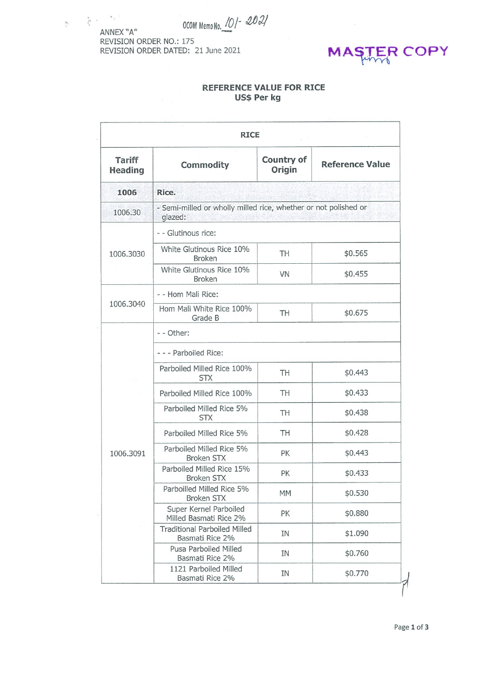OCOM Memo No. 101-2021

 $\frac{1}{\sqrt{2}}\left( \left( \mathbf{x}^{\prime}\right) \right) =\frac{\left( \mathbf{x}^{\prime}\right) \sqrt{2}}{2}$ ANNEX "A" REVISION ORDER NO.: 175 REVISION ORDER DATED: 21 June 2021

 $\mathcal{L}_{\perp}$ 



## REFERENCE VALUE FOR RICE Us\$ Per kg

| <b>RICE</b>                     |                                                                            |                      |                        |  |  |  |
|---------------------------------|----------------------------------------------------------------------------|----------------------|------------------------|--|--|--|
| <b>Tariff</b><br><b>Heading</b> | Commodity                                                                  | Country of<br>Origin | <b>Reference Value</b> |  |  |  |
| 1006                            | Rice.                                                                      |                      |                        |  |  |  |
| 1006.30                         | - Semi-milled or wholly milled rice, whether or not polished or<br>glazed: |                      |                        |  |  |  |
|                                 | - - Glutinous rice:                                                        |                      |                        |  |  |  |
| 1006.3030                       | White Glutinous Rice 10%<br><b>Broken</b>                                  | TH                   | \$0.565                |  |  |  |
|                                 | White Glutinous Rice 10%<br><b>Broken</b>                                  | <b>VN</b>            | \$0.455                |  |  |  |
| 1006.3040                       | - - Hom Mali Rice:                                                         |                      |                        |  |  |  |
|                                 | Hom Mali White Rice 100%<br>Grade B                                        | TH                   | \$0.675                |  |  |  |
|                                 | - - Other:                                                                 |                      |                        |  |  |  |
|                                 | - - - Parboiled Rice:                                                      |                      |                        |  |  |  |
|                                 | Parboiled Milled Rice 100%<br><b>STX</b>                                   | TH                   | \$0.443                |  |  |  |
| 1006.3091                       | Parboiled Milled Rice 100%                                                 | TH                   | \$0.433                |  |  |  |
|                                 | Parboiled Milled Rice 5%<br><b>STX</b>                                     | TH                   | \$0.438                |  |  |  |
|                                 | Parboiled Milled Rice 5%                                                   | TH                   | \$0.428                |  |  |  |
|                                 | Parboiled Milled Rice 5%<br><b>Broken STX</b>                              | PK                   | \$0.443                |  |  |  |
|                                 | Parboiled Milled Rice 15%<br><b>Broken STX</b>                             | PK                   | \$0.433                |  |  |  |
|                                 | Parboilled Milled Rice 5%<br>Broken STX                                    | MM                   | \$0.530                |  |  |  |
|                                 | Super Kernel Parboiled<br>Milled Basmati Rice 2%                           | PK                   | \$0.880                |  |  |  |
|                                 | <b>Traditional Parboiled Milled</b><br>Basmati Rice 2%                     | IN                   | \$1.090                |  |  |  |
|                                 | Pusa Parboiled Milled<br>Basmati Rice 2%                                   | IN                   | \$0.760                |  |  |  |
|                                 | 1121 Parboiled Milled<br>Basmati Rice 2%                                   | IN                   | \$0.770                |  |  |  |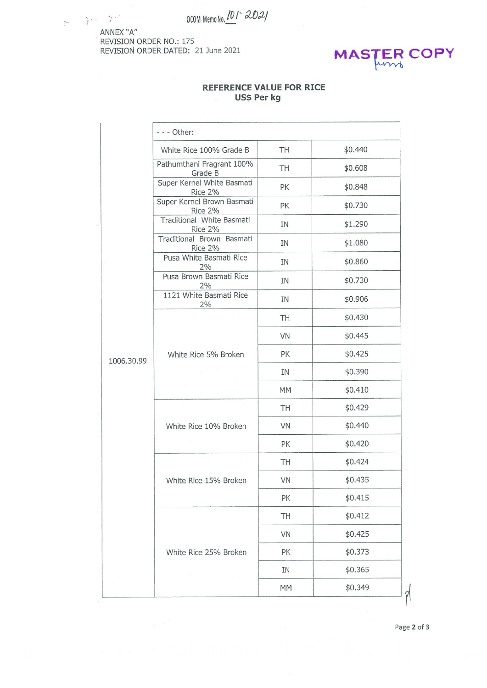OCOM Memo No. 101 - 2021

 $\mathbb{R}^n \times \mathbb{R}^n$ ANNEX "A" REVISION ORDER NO.: 175 REVISION ORDER DATED: 21 June 2021



## REFERENCE VALUE FOR RICE Us\$ Per kg

|            | - - - Other:                          |    |         |
|------------|---------------------------------------|----|---------|
|            | White Rice 100% Grade B               | TH | \$0.440 |
|            | Pathumthani Fragrant 100%<br>Grade B  | TH | \$0.608 |
|            | Super Kernel White Basmati<br>Rice 2% | PК | \$0.848 |
|            | Super Kernel Brown Basmati<br>Rice 2% | PК | \$0.730 |
|            | Traditional White Basmati<br>Rice 2%  | ΙN | \$1.290 |
|            | Traditional Brown Basmati<br>Rice 2%  | ΙN | \$1.080 |
|            | Pusa White Basmati Rice<br>2%         | ΙN | \$0.860 |
|            | Pusa Brown Basmati Rice<br>2%         | ΙN | \$0.730 |
|            | 1121 White Basmati Rice<br>2%         | IN | \$0.906 |
|            |                                       | TH | \$0.430 |
|            |                                       | VN | \$0.445 |
| 1006.30.99 | White Rice 5% Broken                  | PK | \$0.425 |
|            |                                       | IN | \$0.390 |
|            |                                       | MM | \$0.410 |
|            |                                       | TH | \$0.429 |
|            | White Rice 10% Broken                 | VN | \$0.440 |
|            |                                       | PK | \$0.420 |
|            |                                       | TH | \$0.424 |
|            | White Rice 15% Broken                 | VN | \$0.435 |
|            |                                       | PK | \$0.415 |
|            |                                       | TH | \$0.412 |
|            |                                       | VN | \$0.425 |
|            | White Rice 25% Broken                 | PK | \$0.373 |
|            |                                       | IN | \$0.365 |
|            |                                       | MM | \$0.349 |

P